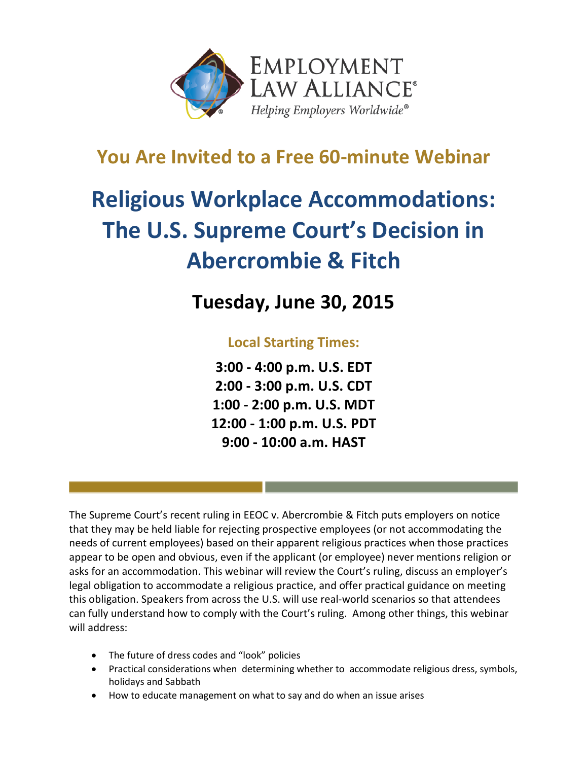

## **You Are Invited to a Free 60-minute Webinar**

# **Religious Workplace Accommodations: The U.S. Supreme Court's Decision in Abercrombie & Fitch**

## **Tuesday, June 30, 2015**

### **Local Starting Times:**

**3:00 - 4:00 p.m. U.S. EDT 2:00 - 3:00 p.m. U.S. CDT 1:00 - 2:00 p.m. U.S. MDT 12:00 - 1:00 p.m. U.S. PDT 9:00 - 10:00 a.m. HAST**

The Supreme Court's recent ruling in EEOC v. Abercrombie & Fitch puts employers on notice that they may be held liable for rejecting prospective employees (or not accommodating the needs of current employees) based on their apparent religious practices when those practices appear to be open and obvious, even if the applicant (or employee) never mentions religion or asks for an accommodation. This webinar will review the Court's ruling, discuss an employer's legal obligation to accommodate a religious practice, and offer practical guidance on meeting this obligation. Speakers from across the U.S. will use real-world scenarios so that attendees can fully understand how to comply with the Court's ruling. Among other things, this webinar will address:

- The future of dress codes and "look" policies
- Practical considerations when determining whether to accommodate religious dress, symbols, holidays and Sabbath
- How to educate management on what to say and do when an issue arises